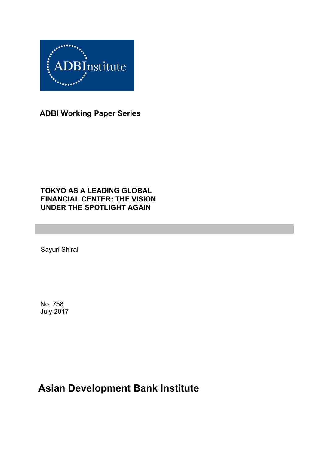

**ADBI Working Paper Series**

### **TOKYO AS A LEADING GLOBAL FINANCIAL CENTER: THE VISION UNDER THE SPOTLIGHT AGAIN**

Sayuri Shirai

No. 758 July 2017

# **Asian Development Bank Institute**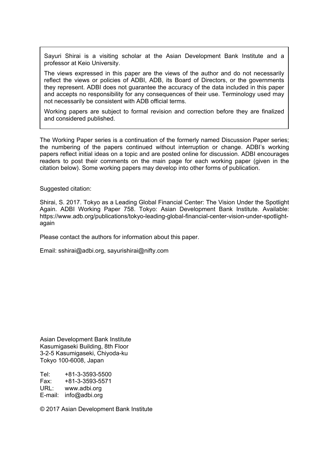Sayuri Shirai is a visiting scholar at the Asian Development Bank Institute and a professor at Keio University.

The views expressed in this paper are the views of the author and do not necessarily reflect the views or policies of ADBI, ADB, its Board of Directors, or the governments they represent. ADBI does not guarantee the accuracy of the data included in this paper and accepts no responsibility for any consequences of their use. Terminology used may not necessarily be consistent with ADB official terms.

Working papers are subject to formal revision and correction before they are finalized and considered published.

The Working Paper series is a continuation of the formerly named Discussion Paper series; the numbering of the papers continued without interruption or change. ADBI's working papers reflect initial ideas on a topic and are posted online for discussion. ADBI encourages readers to post their comments on the main page for each working paper (given in the citation below). Some working papers may develop into other forms of publication.

Suggested citation:

Shirai, S. 2017. Tokyo as a Leading Global Financial Center: The Vision Under the Spotlight Again. ADBI Working Paper 758. Tokyo: Asian Development Bank Institute. Available: https://www.adb.org/publications/tokyo-leading-global-financial-center-vision-under-spotlightagain

Please contact the authors for information about this paper.

Email: sshirai@adbi.org, sayurishirai@nifty.com

Asian Development Bank Institute Kasumigaseki Building, 8th Floor 3-2-5 Kasumigaseki, Chiyoda-ku Tokyo 100-6008, Japan

Tel: +81-3-3593-5500 Fax: +81-3-3593-5571 URL: www.adbi.org E-mail: info@adbi.org

© 2017 Asian Development Bank Institute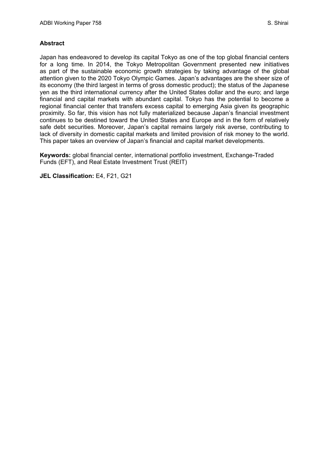#### **Abstract**

Japan has endeavored to develop its capital Tokyo as one of the top global financial centers for a long time. In 2014, the Tokyo Metropolitan Government presented new initiatives as part of the sustainable economic growth strategies by taking advantage of the global attention given to the 2020 Tokyo Olympic Games. Japan's advantages are the sheer size of its economy (the third largest in terms of gross domestic product); the status of the Japanese yen as the third international currency after the United States dollar and the euro; and large financial and capital markets with abundant capital. Tokyo has the potential to become a regional financial center that transfers excess capital to emerging Asia given its geographic proximity. So far, this vision has not fully materialized because Japan's financial investment continues to be destined toward the United States and Europe and in the form of relatively safe debt securities. Moreover, Japan's capital remains largely risk averse, contributing to lack of diversity in domestic capital markets and limited provision of risk money to the world. This paper takes an overview of Japan's financial and capital market developments.

**Keywords:** global financial center, international portfolio investment, Exchange-Traded Funds (EFT), and Real Estate Investment Trust (REIT)

**JEL Classification:** E4, F21, G21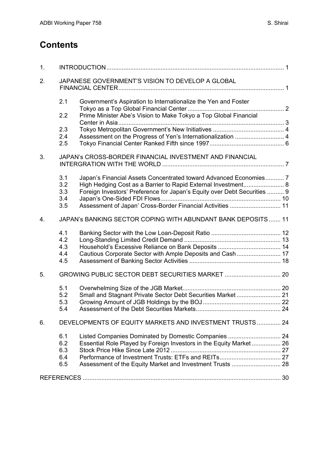## **Contents**

| 1. |                                                              |                                                                          |  |  |  |  |  |
|----|--------------------------------------------------------------|--------------------------------------------------------------------------|--|--|--|--|--|
| 2. | JAPANESE GOVERNMENT'S VISION TO DEVELOP A GLOBAL             |                                                                          |  |  |  |  |  |
|    | 2.1                                                          | Government's Aspiration to Internationalize the Yen and Foster           |  |  |  |  |  |
|    | 2.2                                                          | Prime Minister Abe's Vision to Make Tokyo a Top Global Financial         |  |  |  |  |  |
|    | 2.3                                                          |                                                                          |  |  |  |  |  |
|    | 2.4                                                          | Assessment on the Progress of Yen's Internationalization  4              |  |  |  |  |  |
|    | 2.5                                                          |                                                                          |  |  |  |  |  |
| 3. | JAPAN's CROSS-BORDER FINANCIAL INVESTMENT AND FINANCIAL      |                                                                          |  |  |  |  |  |
|    | 3.1                                                          | Japan's Financial Assets Concentrated toward Advanced Economies 7        |  |  |  |  |  |
|    | 3.2                                                          | High Hedging Cost as a Barrier to Rapid External Investment 8            |  |  |  |  |  |
|    | 3.3                                                          | Foreign Investors' Preference for Japan's Equity over Debt Securities  9 |  |  |  |  |  |
|    | 3.4                                                          |                                                                          |  |  |  |  |  |
|    | 3.5                                                          | Assessment of Japan' Cross-Border Financial Activities  11               |  |  |  |  |  |
| 4. | JAPAN's BANKING SECTOR COPING WITH ABUNDANT BANK DEPOSITS 11 |                                                                          |  |  |  |  |  |
|    | 4.1                                                          |                                                                          |  |  |  |  |  |
|    | 4.2                                                          |                                                                          |  |  |  |  |  |
|    | 4.3                                                          |                                                                          |  |  |  |  |  |
|    | 4.4                                                          | Cautious Corporate Sector with Ample Deposits and Cash 17                |  |  |  |  |  |
|    | 4.5                                                          |                                                                          |  |  |  |  |  |
| 5. |                                                              |                                                                          |  |  |  |  |  |
|    | 5.1                                                          |                                                                          |  |  |  |  |  |
|    | 5.2                                                          | Small and Stagnant Private Sector Debt Securities Market  21             |  |  |  |  |  |
|    | 5.3                                                          |                                                                          |  |  |  |  |  |
|    | 5.4                                                          |                                                                          |  |  |  |  |  |
| 6. | DEVELOPMENTS OF EQUITY MARKETS AND INVESTMENT TRUSTS 24      |                                                                          |  |  |  |  |  |
|    | 6.1                                                          | Listed Companies Dominated by Domestic Companies  24                     |  |  |  |  |  |
|    | 6.2                                                          | Essential Role Played by Foreign Investors in the Equity Market 26       |  |  |  |  |  |
|    | 6.3                                                          |                                                                          |  |  |  |  |  |
|    | 6.4                                                          |                                                                          |  |  |  |  |  |
|    | 6.5                                                          | Assessment of the Equity Market and Investment Trusts  28                |  |  |  |  |  |
|    |                                                              |                                                                          |  |  |  |  |  |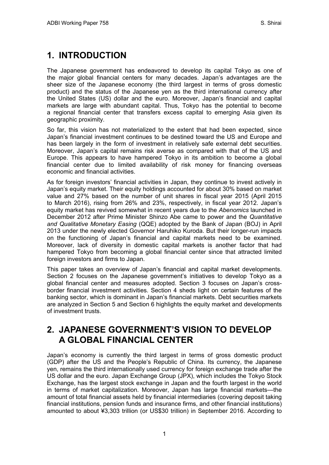# <span id="page-4-0"></span>**1. INTRODUCTION**

The Japanese government has endeavored to develop its capital Tokyo as one of the major global financial centers for many decades. Japan's advantages are the sheer size of the Japanese economy (the third largest in terms of gross domestic product) and the status of the Japanese yen as the third international currency after the United States (US) dollar and the euro. Moreover, Japan's financial and capital markets are large with abundant capital. Thus, Tokyo has the potential to become a regional financial center that transfers excess capital to emerging Asia given its geographic proximity.

So far, this vision has not materialized to the extent that had been expected, since Japan's financial investment continues to be destined toward the US and Europe and has been largely in the form of investment in relatively safe external debt securities. Moreover, Japan's capital remains risk averse as compared with that of the US and Europe. This appears to have hampered Tokyo in its ambition to become a global financial center due to limited availability of risk money for financing overseas economic and financial activities.

As for foreign investors' financial activities in Japan, they continue to invest actively in Japan's equity market. Their equity holdings accounted for about 30% based on market value and 27% based on the number of unit shares in fiscal year 2015 (April 2015 to March 2016), rising from 26% and 23%, respectively, in fiscal year 2012. Japan's equity market has revived somewhat in recent years due to the *Abenomics* launched in December 2012 after Prime Minister Shinzo Abe came to power and the *Quantitative and Qualitative Monetary Easing* (QQE) adopted by the Bank of Japan (BOJ) in April 2013 under the newly elected Governor Haruhiko Kuroda. But their longer-run impacts on the functioning of Japan's financial and capital markets need to be examined. Moreover, lack of diversity in domestic capital markets is another factor that had hampered Tokyo from becoming a global financial center since that attracted limited foreign investors and firms to Japan.

This paper takes an overview of Japan's financial and capital market developments. Section 2 focuses on the Japanese government's initiatives to develop Tokyo as a global financial center and measures adopted. Section 3 focuses on Japan's crossborder financial investment activities. Section 4 sheds light on certain features of the banking sector, which is dominant in Japan's financial markets. Debt securities markets are analyzed in Section 5 and Section 6 highlights the equity market and developments of investment trusts.

## <span id="page-4-1"></span>**2. JAPANESE GOVERNMENT'S VISION TO DEVELOP A GLOBAL FINANCIAL CENTER**

Japan's economy is currently the third largest in terms of gross domestic product (GDP) after the US and the People's Republic of China. Its currency, the Japanese yen, remains the third internationally used currency for foreign exchange trade after the US dollar and the euro. Japan Exchange Group (JPX), which includes the Tokyo Stock Exchange, has the largest stock exchange in Japan and the fourth largest in the world in terms of market capitalization. Moreover, Japan has large financial markets—the amount of total financial assets held by financial intermediaries (covering deposit taking financial institutions, pension funds and insurance firms, and other financial institutions) amounted to about ¥3,303 trillion (or US\$30 trillion) in September 2016. According to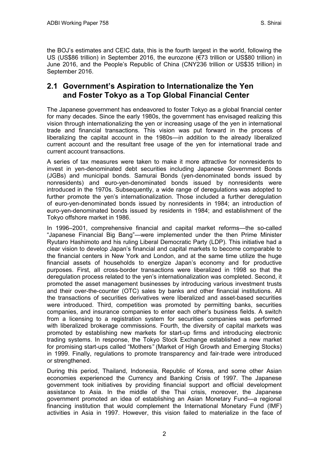the BOJ's estimates and CEIC data, this is the fourth largest in the world, following the US (US\$86 trillion) in September 2016, the eurozone (€73 trillion or US\$80 trillion) in June 2016, and the People's Republic of China (CNY236 trillion or US\$35 trillion) in September 2016.

#### <span id="page-5-0"></span>**2.1 Government's Aspiration to Internationalize the Yen and Foster Tokyo as a Top Global Financial Center**

The Japanese government has endeavored to foster Tokyo as a global financial center for many decades. Since the early 1980s, the government has envisaged realizing this vision through internationalizing the yen or increasing usage of the yen in international trade and financial transactions. This vision was put forward in the process of liberalizing the capital account in the 1980s—in addition to the already liberalized current account and the resultant free usage of the yen for international trade and current account transactions.

A series of tax measures were taken to make it more attractive for nonresidents to invest in yen-denominated debt securities including Japanese Government Bonds (JGBs) and municipal bonds. Samurai Bonds (yen-denominated bonds issued by nonresidents) and euro-yen-denominated bonds issued by nonresidents were introduced in the 1970s. Subsequently, a wide range of deregulations was adopted to further promote the yen's internationalization. Those included a further deregulation of euro-yen-denominated bonds issued by nonresidents in 1984; an introduction of euro-yen-denominated bonds issued by residents in 1984; and establishment of the Tokyo offshore market in 1986.

In 1996–2001, comprehensive financial and capital market reforms—the so-called "Japanese Financial Big Bang"—were implemented under the then Prime Minister Ryutaro Hashimoto and his ruling Liberal Democratic Party (LDP). This initiative had a clear vision to develop Japan's financial and capital markets to become comparable to the financial centers in New York and London, and at the same time utilize the huge financial assets of households to energize Japan's economy and for productive purposes. First, all cross-border transactions were liberalized in 1998 so that the deregulation process related to the yen's internationalization was completed. Second, it promoted the asset management businesses by introducing various investment trusts and their over-the-counter (OTC) sales by banks and other financial institutions. All the transactions of securities derivatives were liberalized and asset-based securities were introduced. Third, competition was promoted by permitting banks, securities companies, and insurance companies to enter each other's business fields. A switch from a licensing to a registration system for securities companies was performed with liberalized brokerage commissions. Fourth, the diversity of capital markets was promoted by establishing new markets for start-up firms and introducing electronic trading systems. In response, the Tokyo Stock Exchange established a new market for promising start-ups called "Mothers*"* (Market of High Growth and Emerging Stocks) in 1999. Finally, regulations to promote transparency and fair-trade were introduced or strengthened.

During this period, Thailand, Indonesia, Republic of Korea, and some other Asian economies experienced the Currency and Banking Crisis of 1997. The Japanese government took initiatives by providing financial support and official development assistance to Asia. In the middle of the Thai crisis, moreover, the Japanese government promoted an idea of establishing an Asian Monetary Fund—a regional financing institution that would complement the International Monetary Fund (IMF) activities in Asia in 1997. However, this vision failed to materialize in the face of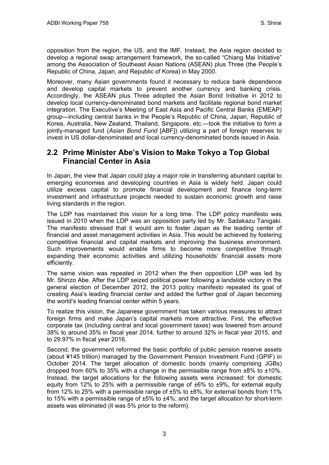opposition from the region, the US, and the IMF. Instead, the Asia region decided to develop a regional swap arrangement framework, the so-called "Chiang Mai Initiative" among the Association of Southeast Asian Nations (ASEAN) plus Three (the People's Republic of China, Japan, and Republic of Korea) in May 2000.

Moreover, many Asian governments found it necessary to reduce bank dependence and develop capital markets to prevent another currency and banking crisis. Accordingly, the ASEAN plus Three adopted the Asian Bond Initiative in 2012 to develop local currency-denominated bond markets and facilitate regional bond market integration. The Executive's Meeting of East Asia and Pacific Central Banks (EMEAP) group—including central banks in the People's Republic of China, Japan, Republic of Korea, Australia, New Zealand, Thailand, Singapore, etc.—took the initiative to form a jointly-managed fund (*Asian Bond Fund* [ABF]) utilizing a part of foreign reserves to invest in US dollar-denominated and local currency-denominated bonds issued in Asia.

#### <span id="page-6-0"></span>**2.2 Prime Minister Abe's Vision to Make Tokyo a Top Global Financial Center in Asia**

In Japan, the view that Japan could play a major role in transferring abundant capital to emerging economies and developing countries in Asia is widely held. Japan could utilize excess capital to promote financial development and finance long-term investment and infrastructure projects needed to sustain economic growth and raise living standards in the region.

The LDP has maintained this vision for a long time. The LDP policy manifesto was issued in 2010 when the LDP was an opposition party led by Mr. Sadakazu Tanigaki. The manifesto stressed that it would aim to foster Japan as the leading center of financial and asset management activities in Asia. This would be achieved by fostering competitive financial and capital markets and improving the business environment. Such improvements would enable firms to become more competitive through expanding their economic activities and utilizing households' financial assets more efficiently.

The same vision was repeated in 2012 when the then opposition LDP was led by Mr. Shinzo Abe. After the LDP seized political power following a landslide victory in the general election of December 2012, the 2013 policy manifesto repeated its goal of creating Asia's leading financial center and added the further goal of Japan becoming the world's leading financial center within 5 years.

To realize this vision, the Japanese government has taken various measures to attract foreign firms and make Japan's capital markets more attractive. First, the effective corporate tax (including central and local government taxes) was lowered from around 38% to around 35% in fiscal year 2014, further to around 32% in fiscal year 2015, and to 29.97% in fiscal year 2016.

Second, the government reformed the basic portfolio of public pension reserve assets (about ¥145 trillion) managed by the Government Pension Investment Fund (GPIF) in October 2014. The target allocation of domestic bonds (mainly comprising JGBs) dropped from 60% to 35% with a change in the permissible range from  $\pm 8\%$  to  $\pm 10\%$ . Instead, the target allocations for the following assets were increased: for domestic equity from 12% to 25% with a permissible range of  $\pm 6\%$  to  $\pm 9\%$ , for external equity from 12% to 25% with a permissible range of ±5% to ±8%, for external bonds from 11% to 15% with a permissible range of  $\pm 5\%$  to  $\pm 4\%$ ; and the target allocation for short-term assets was eliminated (it was 5% prior to the reform).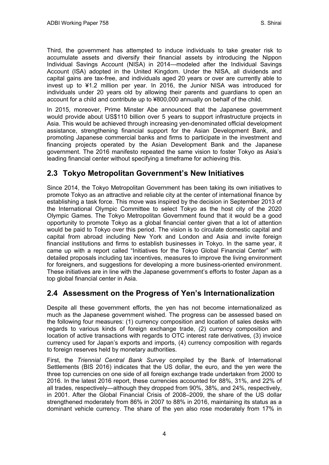Third, the government has attempted to induce individuals to take greater risk to accumulate assets and diversify their financial assets by introducing the Nippon Individual Savings Account (NISA) in 2014—modeled after the Individual Savings Account (ISA) adopted in the United Kingdom. Under the NISA, all dividends and capital gains are tax-free, and individuals aged 20 years or over are currently able to invest up to ¥1.2 million per year. In 2016, the Junior NISA was introduced for individuals under 20 years old by allowing their parents and guardians to open an account for a child and contribute up to ¥800,000 annually on behalf of the child.

In 2015, moreover, Prime Minster Abe announced that the Japanese government would provide about US\$110 billion over 5 years to support infrastructure projects in Asia. This would be achieved through increasing yen-denominated official development assistance, strengthening financial support for the Asian Development Bank, and promoting Japanese commercial banks and firms to participate in the investment and financing projects operated by the Asian Development Bank and the Japanese government. The 2016 manifesto repeated the same vision to foster Tokyo as Asia's leading financial center without specifying a timeframe for achieving this.

### <span id="page-7-0"></span>**2.3 Tokyo Metropolitan Government's New Initiatives**

Since 2014, the Tokyo Metropolitan Government has been taking its own initiatives to promote Tokyo as an attractive and reliable city at the center of international finance by establishing a task force. This move was inspired by the decision in September 2013 of the International Olympic Committee to select Tokyo as the host city of the 2020 Olympic Games. The Tokyo Metropolitan Government found that it would be a good opportunity to promote Tokyo as a global financial center given that a lot of attention would be paid to Tokyo over this period. The vision is to circulate domestic capital and capital from abroad including New York and London and Asia and invite foreign financial institutions and firms to establish businesses in Tokyo. In the same year, it came up with a report called "Initiatives for the Tokyo Global Financial Center" with detailed proposals including tax incentives, measures to improve the living environment for foreigners, and suggestions for developing a more business-oriented environment. These initiatives are in line with the Japanese government's efforts to foster Japan as a top global financial center in Asia.

## <span id="page-7-1"></span>**2.4 Assessment on the Progress of Yen's Internationalization**

Despite all these government efforts, the yen has not become internationalized as much as the Japanese government wished. The progress can be assessed based on the following four measures: (1) currency composition and location of sales desks with regards to various kinds of foreign exchange trade, (2) currency composition and location of active transactions with regards to OTC interest rate derivatives, (3) invoice currency used for Japan's exports and imports, (4) currency composition with regards to foreign reserves held by monetary authorities.

First, the *Triennial Central Bank Survey* compiled by the Bank of International Settlements (BIS 2016) indicates that the US dollar, the euro, and the yen were the three top currencies on one side of all foreign exchange trade undertaken from 2000 to 2016. In the latest 2016 report, these currencies accounted for 88%, 31%, and 22% of all trades, respectively—although they dropped from 90%, 38%, and 24%, respectively, in 2001. After the Global Financial Crisis of 2008–2009, the share of the US dollar strengthened moderately from 86% in 2007 to 88% in 2016, maintaining its status as a dominant vehicle currency. The share of the yen also rose moderately from 17% in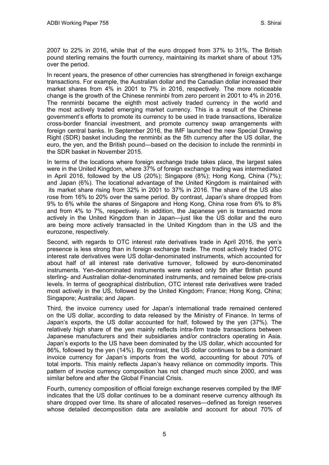2007 to 22% in 2016, while that of the euro dropped from 37% to 31%. The British pound sterling remains the fourth currency, maintaining its market share of about 13% over the period.

In recent years, the presence of other currencies has strengthened in foreign exchange transactions. For example, the Australian dollar and the Canadian dollar increased their market shares from 4% in 2001 to 7% in 2016, respectively. The more noticeable change is the growth of the Chinese renminbi from zero percent in 2001 to 4% in 2016. The renminbi became the eighth most actively traded currency in the world and the most actively traded emerging market currency. This is a result of the Chinese government's efforts to promote its currency to be used in trade transactions, liberalize cross-border financial investment, and promote currency swap arrangements with foreign central banks. In September 2016, the IMF launched the new Special Drawing Right (SDR) basket including the renminbi as the 5th currency after the US dollar, the euro, the yen, and the British pound—based on the decision to include the renminbi in the SDR basket in November 2015.

In terms of the locations where foreign exchange trade takes place, the largest sales were in the United Kingdom, where 37% of foreign exchange trading was intermediated in April 2016, followed by the US (20%); Singapore (8%); Hong Kong, China (7%); and Japan (6%). The locational advantage of the United Kingdom is maintained with its market share rising from 32% in 2001 to 37% in 2016. The share of the US also rose from 16% to 20% over the same period. By contrast, Japan's share dropped from 9% to 6% while the shares of Singapore and Hong Kong, China rose from 6% to 8% and from 4% to 7%, respectively. In addition, the Japanese yen is transacted more actively in the United Kingdom than in Japan—just like the US dollar and the euro are being more actively transacted in the United Kingdom than in the US and the eurozone, respectively.

Second, with regards to OTC interest rate derivatives trade in April 2016, the yen's presence is less strong than in foreign exchange trade. The most actively traded OTC interest rate derivatives were US dollar-denominated instruments, which accounted for about half of all interest rate derivative turnover, followed by euro-denominated instruments. Yen-denominated instruments were ranked only 5th after British pound sterling- and Australian dollar-denominated instruments, and remained below pre-crisis levels. In terms of geographical distribution, OTC interest rate derivatives were traded most actively in the US, followed by the United Kingdom; France; Hong Kong, China; Singapore; Australia; and Japan.

Third, the invoice currency used for Japan's international trade remained centered on the US dollar, according to data released by the Ministry of Finance. In terms of Japan's exports, the US dollar accounted for half, followed by the yen (37%). The relatively high share of the yen mainly reflects intra-firm trade transactions between Japanese manufacturers and their subsidiaries and/or contractors operating in Asia. Japan's exports to the US have been dominated by the US dollar, which accounted for 86%, followed by the yen (14%). By contrast, the US dollar continues to be a dominant invoice currency for Japan's imports from the world, accounting for about 70% of total imports. This mainly reflects Japan's heavy reliance on commodity imports. This pattern of invoice currency composition has not changed much since 2000, and was similar before and after the Global Financial Crisis.

Fourth, currency composition of official foreign exchange reserves compiled by the IMF indicates that the US dollar continues to be a dominant reserve currency although its share dropped over time. Its share of allocated reserves—defined as foreign reserves whose detailed decomposition data are available and account for about 70% of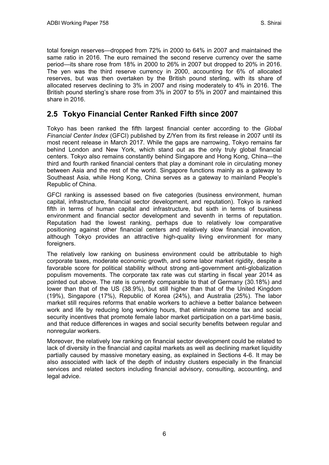total foreign reserves—dropped from 72% in 2000 to 64% in 2007 and maintained the same ratio in 2016. The euro remained the second reserve currency over the same period—its share rose from 18% in 2000 to 26% in 2007 but dropped to 20% in 2016. The yen was the third reserve currency in 2000, accounting for 6% of allocated reserves, but was then overtaken by the British pound sterling, with its share of allocated reserves declining to 3% in 2007 and rising moderately to 4% in 2016. The British pound sterling's share rose from 3% in 2007 to 5% in 2007 and maintained this share in 2016.

#### <span id="page-9-0"></span>**2.5 Tokyo Financial Center Ranked Fifth since 2007**

Tokyo has been ranked the fifth largest financial center according to the *Global Financial Center Index* (GFCI) published by Z/Yen from its first release in 2007 until its most recent release in March 2017. While the gaps are narrowing, Tokyo remains far behind London and New York, which stand out as the only truly global financial centers. Tokyo also remains constantly behind Singapore and Hong Kong, China—the third and fourth ranked financial centers that play a dominant role in circulating money between Asia and the rest of the world. Singapore functions mainly as a gateway to Southeast Asia, while Hong Kong, China serves as a gateway to mainland People's Republic of China.

GFCI ranking is assessed based on five categories (business environment, human capital, infrastructure, financial sector development, and reputation). Tokyo is ranked fifth in terms of human capital and infrastructure, but sixth in terms of business environment and financial sector development and seventh in terms of reputation. Reputation had the lowest ranking, perhaps due to relatively low comparative positioning against other financial centers and relatively slow financial innovation, although Tokyo provides an attractive high-quality living environment for many foreigners.

The relatively low ranking on business environment could be attributable to high corporate taxes, moderate economic growth, and some labor market rigidity, despite a favorable score for political stability without strong anti-government anti-globalization populism movements. The corporate tax rate was cut starting in fiscal year 2014 as pointed out above. The rate is currently comparable to that of Germany (30.18%) and lower than that of the US (38.9%), but still higher than that of the United Kingdom (19%), Singapore (17%), Republic of Korea (24%), and Australia (25%). The labor market still requires reforms that enable workers to achieve a better balance between work and life by reducing long working hours, that eliminate income tax and social security incentives that promote female labor market participation on a part-time basis, and that reduce differences in wages and social security benefits between regular and nonregular workers.

Moreover, the relatively low ranking on financial sector development could be related to lack of diversity in the financial and capital markets as well as declining market liquidity partially caused by massive monetary easing, as explained in Sections 4-6. It may be also associated with lack of the depth of industry clusters especially in the financial services and related sectors including financial advisory, consulting, accounting, and legal advice.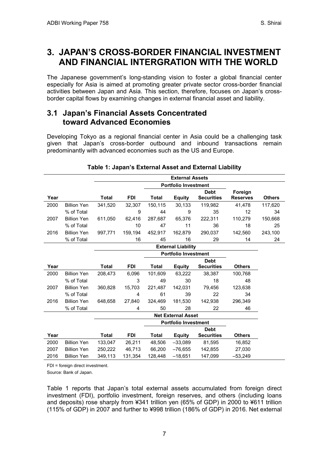## <span id="page-10-0"></span>**3. JAPAN'S CROSS-BORDER FINANCIAL INVESTMENT AND FINANCIAL INTERGRATION WITH THE WORLD**

The Japanese government's long-standing vision to foster a global financial center especially for Asia is aimed at promoting greater private sector cross-border financial activities between Japan and Asia. This section, therefore, focuses on Japan's crossborder capital flows by examining changes in external financial asset and liability.

#### <span id="page-10-1"></span>**3.1 Japan's Financial Assets Concentrated toward Advanced Economies**

Developing Tokyo as a regional financial center in Asia could be a challenging task given that Japan's cross-border outbound and inbound transactions remain predominantly with advanced economies such as the US and Europe.

|      |                    | <b>External Assets</b>      |            |              |               |                   |                 |               |  |  |
|------|--------------------|-----------------------------|------------|--------------|---------------|-------------------|-----------------|---------------|--|--|
|      |                    | <b>Portfolio Investment</b> |            |              |               |                   |                 |               |  |  |
|      |                    |                             |            |              |               | <b>Debt</b>       | Foreign         |               |  |  |
| Year |                    | <b>Total</b>                | <b>FDI</b> | <b>Total</b> | <b>Equity</b> | <b>Securities</b> | <b>Reserves</b> | <b>Others</b> |  |  |
| 2000 | <b>Billion Yen</b> | 341.520                     | 32,307     | 150.115      | 30.133        | 119,982           | 41,478          | 117,620       |  |  |
|      | % of Total         |                             | 9          | 44           | 9             | 35                | 12              | 34            |  |  |
| 2007 | <b>Billion Yen</b> | 611,050                     | 62,416     | 287,687      | 65,376        | 222,311           | 110,279         | 150,668       |  |  |
|      | % of Total         |                             | 10         | 47           | 11            | 36                | 18              | 25            |  |  |
| 2016 | <b>Billion Yen</b> | 997,771                     | 159,194    | 452,917      | 162,879       | 290,037           | 142,560         | 243,100       |  |  |
|      | % of Total         |                             | 16         | 45           | 16            | 29                | 14              | 24            |  |  |
|      |                    | <b>External Liability</b>   |            |              |               |                   |                 |               |  |  |
|      |                    | <b>Portfolio Investment</b> |            |              |               |                   |                 |               |  |  |
|      |                    |                             |            |              |               | <b>Debt</b>       |                 |               |  |  |
| Year |                    | <b>Total</b>                | <b>FDI</b> | <b>Total</b> | <b>Equity</b> | <b>Securities</b> | <b>Others</b>   |               |  |  |
| 2000 | <b>Billion Yen</b> | 208,473                     | 6,096      | 101,609      | 63,222        | 38,387            | 100,768         |               |  |  |
|      | % of Total         |                             | 3          | 49           | 30            | 18                | 48              |               |  |  |
| 2007 | <b>Billion Yen</b> | 360,828                     | 15,703     | 221,487      | 142,031       | 79,456            | 123,638         |               |  |  |
|      | % of Total         |                             | 4          | 61           | 39            | 22                | 34              |               |  |  |
| 2016 | <b>Billion Yen</b> | 648,658                     | 27,840     | 324,469      | 181.530       | 142,938           | 296,349         |               |  |  |
|      | % of Total         |                             | 4          | 50           | 28            | 22                | 46              |               |  |  |
|      |                    | <b>Net External Asset</b>   |            |              |               |                   |                 |               |  |  |
|      |                    | <b>Portfolio Investment</b> |            |              |               |                   |                 |               |  |  |
|      |                    |                             |            |              |               | <b>Debt</b>       |                 |               |  |  |
| Year |                    | <b>Total</b>                | <b>FDI</b> | <b>Total</b> | <b>Equity</b> | <b>Securities</b> | <b>Others</b>   |               |  |  |
| 2000 | <b>Billion Yen</b> | 133,047                     | 26,211     | 48,506       | $-33,089$     | 81,595            | 16,852          |               |  |  |
| 2007 | <b>Billion Yen</b> | 250,222                     | 46,713     | 66,200       | $-76,655$     | 142,855           | 27,030          |               |  |  |
| 2016 | <b>Billion Yen</b> | 349,113                     | 131,354    | 128,448      | $-18,651$     | 147,099           | $-53,249$       |               |  |  |

#### **Table 1: Japan's External Asset and External Liability**

FDI = foreign direct investment.

Source: Bank of Japan.

Table 1 reports that Japan's total external assets accumulated from foreign direct investment (FDI), portfolio investment, foreign reserves, and others (including loans and deposits) rose sharply from ¥341 trillion yen (65% of GDP) in 2000 to ¥611 trillion (115% of GDP) in 2007 and further to ¥998 trillion (186% of GDP) in 2016. Net external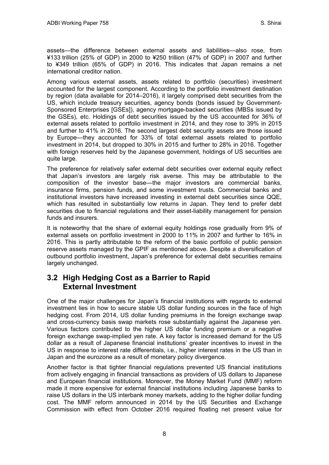assets—the difference between external assets and liabilities—also rose, from ¥133 trillion (25% of GDP) in 2000 to ¥250 trillion (47% of GDP) in 2007 and further to ¥349 trillion (65% of GDP) in 2016. This indicates that Japan remains a net international creditor nation.

Among various external assets, assets related to portfolio (securities) investment accounted for the largest component. According to the portfolio investment destination by region (data available for 2014–2016), it largely comprised debt securities from the US, which include treasury securities, agency bonds (bonds issued by Government-Sponsored Enterprises [GSEs]), agency mortgage-backed securities (MBSs issued by the GSEs), etc. Holdings of debt securities issued by the US accounted for 36% of external assets related to portfolio investment in 2014, and they rose to 39% in 2015 and further to 41% in 2016. The second largest debt security assets are those issued by Europe—they accounted for 33% of total external assets related to portfolio investment in 2014, but dropped to 30% in 2015 and further to 28% in 2016. Together with foreign reserves held by the Japanese government, holdings of US securities are quite large.

The preference for relatively safer external debt securities over external equity reflect that Japan's investors are largely risk averse. This may be attributable to the composition of the investor base—the major investors are commercial banks, insurance firms, pension funds, and some investment trusts. Commercial banks and institutional investors have increased investing in external debt securities since QQE, which has resulted in substantially low returns in Japan. They tend to prefer debt securities due to financial regulations and their asset-liability management for pension funds and insurers.

It is noteworthy that the share of external equity holdings rose gradually from 9% of external assets on portfolio investment in 2000 to 11% in 2007 and further to 16% in 2016. This is partly attributable to the reform of the basic portfolio of public pension reserve assets managed by the GPIF as mentioned above. Despite a diversification of outbound portfolio investment, Japan's preference for external debt securities remains largely unchanged.

### <span id="page-11-0"></span>**3.2 High Hedging Cost as a Barrier to Rapid External Investment**

One of the major challenges for Japan's financial institutions with regards to external investment lies in how to secure stable US dollar funding sources in the face of high hedging cost. From 2014, US dollar funding premiums in the foreign exchange swap and cross-currency basis swap markets rose substantially against the Japanese yen. Various factors contributed to the higher US dollar funding premium or a negative foreign exchange swap-implied yen rate. A key factor is increased demand for the US dollar as a result of Japanese financial institutions' greater incentives to invest in the US in response to interest rate differentials, i.e., higher interest rates in the US than in Japan and the eurozone as a result of monetary policy divergence.

Another factor is that tighter financial regulations prevented US financial institutions from actively engaging in financial transactions as providers of US dollars to Japanese and European financial institutions. Moreover, the Money Market Fund (MMF) reform made it more expensive for external financial institutions including Japanese banks to raise US dollars in the US interbank money markets, adding to the higher dollar funding cost. The MMF reform announced in 2014 by the US Securities and Exchange Commission with effect from October 2016 required floating net present value for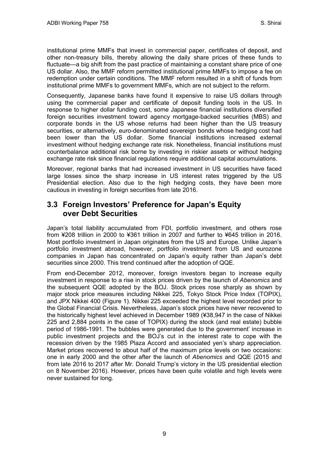institutional prime MMFs that invest in commercial paper, certificates of deposit, and other non-treasury bills, thereby allowing the daily share prices of these funds to fluctuate—a big shift from the past practice of maintaining a constant share price of one US dollar. Also, the MMF reform permitted institutional prime MMFs to impose a fee on redemption under certain conditions. The MMF reform resulted in a shift of funds from institutional prime MMFs to government MMFs, which are not subject to the reform.

Consequently, Japanese banks have found it expensive to raise US dollars through using the commercial paper and certificate of deposit funding tools in the US. In response to higher dollar funding cost, some Japanese financial institutions diversified foreign securities investment toward agency mortgage-backed securities (MBS) and corporate bonds in the US whose returns had been higher than the US treasury securities, or alternatively, euro-denominated sovereign bonds whose hedging cost had been lower than the US dollar. Some financial institutions increased external investment without hedging exchange rate risk. Nonetheless, financial institutions must counterbalance additional risk borne by investing in riskier assets or without hedging exchange rate risk since financial regulations require additional capital accumulations.

Moreover, regional banks that had increased investment in US securities have faced large losses since the sharp increase in US interest rates triggered by the US Presidential election. Also due to the high hedging costs, they have been more cautious in investing in foreign securities from late 2016.

### <span id="page-12-0"></span>**3.3 Foreign Investors' Preference for Japan's Equity over Debt Securities**

Japan's total liability accumulated from FDI, portfolio investment, and others rose from ¥208 trillion in 2000 to ¥361 trillion in 2007 and further to ¥645 trillion in 2016. Most portfolio investment in Japan originates from the US and Europe. Unlike Japan's portfolio investment abroad, however, portfolio investment from US and eurozone companies in Japan has concentrated on Japan's equity rather than Japan's debt securities since 2000. This trend continued after the adoption of QQE.

From end-December 2012, moreover, foreign investors began to increase equity investment in response to a rise in stock prices driven by the launch of *Abenomics* and the subsequent QQE adopted by the BOJ. Stock prices rose sharply as shown by major stock price measures including Nikkei 225, Tokyo Stock Price Index (TOPIX), and JPX Nikkei 400 (Figure 1). Nikkei 225 exceeded the highest level recorded prior to the Global Financial Crisis. Nevertheless, Japan's stock prices have never recovered to the historically highest level achieved in December 1989 (¥38,947 in the case of Nikkei 225 and 2,884 points in the case of TOPIX) during the stock (and real estate) bubble period of 1986-1991. The bubbles were generated due to the government' increase in public investment projects and the BOJ's cut in the interest rate to cope with the recession driven by the 1985 Plaza Accord and associated yen's sharp appreciation. Market prices recovered to about half of the maximum price levels on two occasions: one in early 2000 and the other after the launch of *Abenomics* and QQE (2015 and from late 2016 to 2017 after Mr. Donald Trump's victory in the US presidential election on 8 November 2016). However, prices have been quite volatile and high levels were never sustained for long.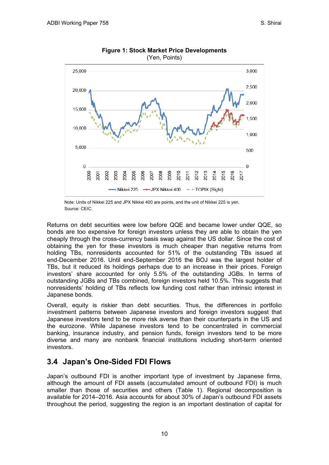

**Figure 1: Stock Market Price Developments**  (Yen, Points)

Note: Units of Nikkei 225 and JPX Nikkei 400 are points, and the unit of Nikkei 225 is yen. Source: CEIC.

Returns on debt securities were low before QQE and became lower under QQE, so bonds are too expensive for foreign investors unless they are able to obtain the yen cheaply through the cross-currency basis swap against the US dollar. Since the cost of obtaining the yen for these investors is much cheaper than negative returns from holding TBs, nonresidents accounted for 51% of the outstanding TBs issued at end-December 2016. Until end-September 2016 the BOJ was the largest holder of TBs, but it reduced its holdings perhaps due to an increase in their prices. Foreign investors' share accounted for only 5.5% of the outstanding JGBs. In terms of outstanding JGBs and TBs combined, foreign investors held 10.5%. This suggests that nonresidents' holding of TBs reflects low funding cost rather than intrinsic interest in Japanese bonds.

Overall, equity is riskier than debt securities. Thus, the differences in portfolio investment patterns between Japanese investors and foreign investors suggest that Japanese investors tend to be more risk averse than their counterparts in the US and the eurozone. While Japanese investors tend to be concentrated in commercial banking, insurance industry, and pension funds, foreign investors tend to be more diverse and many are nonbank financial institutions including short-term oriented investors.

### <span id="page-13-0"></span>**3.4 Japan's One-Sided FDI Flows**

Japan's outbound FDI is another important type of investment by Japanese firms, although the amount of FDI assets (accumulated amount of outbound FDI) is much smaller than those of securities and others (Table 1). Regional decomposition is available for 2014–2016. Asia accounts for about 30% of Japan's outbound FDI assets throughout the period, suggesting the region is an important destination of capital for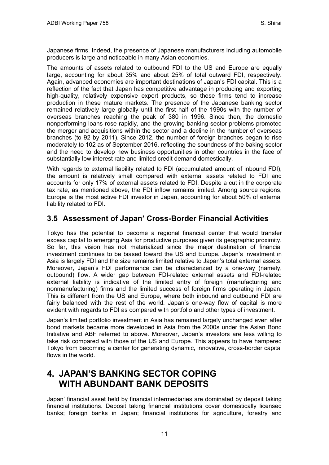Japanese firms. Indeed, the presence of Japanese manufacturers including automobile producers is large and noticeable in many Asian economies.

The amounts of assets related to outbound FDI to the US and Europe are equally large, accounting for about 35% and about 25% of total outward FDI, respectively. Again, advanced economies are important destinations of Japan's FDI capital. This is a reflection of the fact that Japan has competitive advantage in producing and exporting high-quality, relatively expensive export products, so these firms tend to increase production in these mature markets. The presence of the Japanese banking sector remained relatively large globally until the first half of the 1990s with the number of overseas branches reaching the peak of 380 in 1996. Since then, the domestic nonperforming loans rose rapidly, and the growing banking sector problems promoted the merger and acquisitions within the sector and a decline in the number of overseas branches (to 92 by 2011). Since 2012, the number of foreign branches began to rise moderately to 102 as of September 2016, reflecting the soundness of the baking sector and the need to develop new business opportunities in other countries in the face of substantially low interest rate and limited credit demand domestically.

With regards to external liability related to FDI (accumulated amount of inbound FDI), the amount is relatively small compared with external assets related to FDI and accounts for only 17% of external assets related to FDI. Despite a cut in the corporate tax rate, as mentioned above, the FDI inflow remains limited. Among source regions, Europe is the most active FDI investor in Japan, accounting for about 50% of external liability related to FDI.

### <span id="page-14-0"></span>**3.5 Assessment of Japan' Cross-Border Financial Activities**

Tokyo has the potential to become a regional financial center that would transfer excess capital to emerging Asia for productive purposes given its geographic proximity. So far, this vision has not materialized since the major destination of financial investment continues to be biased toward the US and Europe. Japan's investment in Asia is largely FDI and the size remains limited relative to Japan's total external assets. Moreover, Japan's FDI performance can be characterized by a one-way (namely, outbound) flow. A wider gap between FDI-related external assets and FDI-related external liability is indicative of the limited entry of foreign (manufacturing and nonmanufacturing) firms and the limited success of foreign firms operating in Japan. This is different from the US and Europe, where both inbound and outbound FDI are fairly balanced with the rest of the world. Japan's one-way flow of capital is more evident with regards to FDI as compared with portfolio and other types of investment.

Japan's limited portfolio investment in Asia has remained largely unchanged even after bond markets became more developed in Asia from the 2000s under the Asian Bond Initiative and ABF referred to above. Moreover, Japan's investors are less willing to take risk compared with those of the US and Europe. This appears to have hampered Tokyo from becoming a center for generating dynamic, innovative, cross-border capital flows in the world.

## <span id="page-14-1"></span>**4. JAPAN'S BANKING SECTOR COPING WITH ABUNDANT BANK DEPOSITS**

Japan' financial asset held by financial intermediaries are dominated by deposit taking financial institutions. Deposit taking financial institutions cover domestically licensed banks; foreign banks in Japan; financial institutions for agriculture, forestry and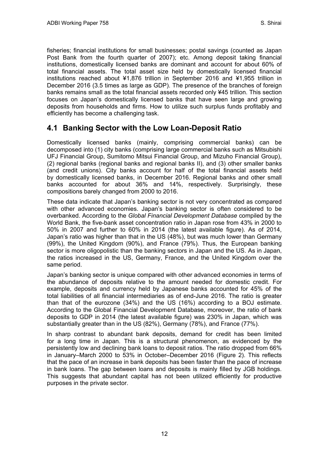fisheries; financial institutions for small businesses; postal savings (counted as Japan Post Bank from the fourth quarter of 2007); etc. Among deposit taking financial institutions, domestically licensed banks are dominant and account for about 60% of total financial assets. The total asset size held by domestically licensed financial institutions reached about ¥1,876 trillion in September 2016 and ¥1,955 trillion in December 2016 (3.5 times as large as GDP). The presence of the branches of foreign banks remains small as the total financial assets recorded only ¥45 trillion. This section focuses on Japan's domestically licensed banks that have seen large and growing deposits from households and firms. How to utilize such surplus funds profitably and efficiently has become a challenging task.

#### <span id="page-15-0"></span>**4.1 Banking Sector with the Low Loan-Deposit Ratio**

Domestically licensed banks (mainly, comprising commercial banks) can be decomposed into (1) city banks (comprising large commercial banks such as Mitsubishi UFJ Financial Group, Sumitomo Mitsui Financial Group, and Mizuho Financial Group), (2) regional banks (regional banks and regional banks II), and (3) other smaller banks (and credit unions). City banks account for half of the total financial assets held by domestically licensed banks, in December 2016. Regional banks and other small banks accounted for about 36% and 14%, respectively. Surprisingly, these compositions barely changed from 2000 to 2016.

These data indicate that Japan's banking sector is not very concentrated as compared with other advanced economies. Japan's banking sector is often considered to be overbanked. According to the *Global Financial Development Database* compiled by the World Bank, the five-bank asset concentration ratio in Japan rose from 43% in 2000 to 50% in 2007 and further to 60% in 2014 (the latest available figure). As of 2014, Japan's ratio was higher than that in the US (48%), but was much lower than Germany (99%), the United Kingdom (90%), and France (79%). Thus, the European banking sector is more oligopolistic than the banking sectors in Japan and the US. As in Japan, the ratios increased in the US, Germany, France, and the United Kingdom over the same period.

Japan's banking sector is unique compared with other advanced economies in terms of the abundance of deposits relative to the amount needed for domestic credit. For example, deposits and currency held by Japanese banks accounted for 45% of the total liabilities of all financial intermediaries as of end-June 2016. The ratio is greater than that of the eurozone (34%) and the US (16%) according to a BOJ estimate. According to the Global Financial Development Database, moreover, the ratio of bank deposits to GDP in 2014 (the latest available figure) was 230% in Japan, which was substantially greater than in the US (82%), Germany (78%), and France (77%).

In sharp contrast to abundant bank deposits, demand for credit has been limited for a long time in Japan. This is a structural phenomenon, as evidenced by the persistently low and declining bank loans to deposit ratios. The ratio dropped from 66% in January–March 2000 to 53% in October–December 2016 (Figure 2). This reflects that the pace of an increase in bank deposits has been faster than the pace of increase in bank loans. The gap between loans and deposits is mainly filled by JGB holdings. This suggests that abundant capital has not been utilized efficiently for productive purposes in the private sector.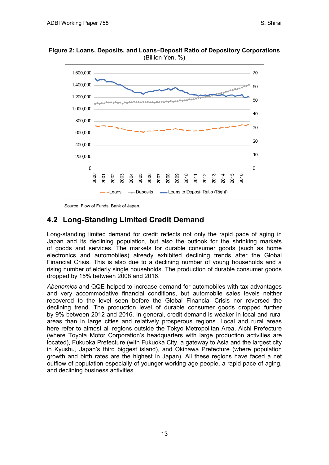**Figure 2: Loans, Deposits, and Loans–Deposit Ratio of Depository Corporations**  (Billion Yen, %)



Source: Flow of Funds, Bank of Japan.

## <span id="page-16-0"></span>**4.2 Long-Standing Limited Credit Demand**

Long-standing limited demand for credit reflects not only the rapid pace of aging in Japan and its declining population, but also the outlook for the shrinking markets of goods and services. The markets for durable consumer goods (such as home electronics and automobiles) already exhibited declining trends after the Global Financial Crisis. This is also due to a declining number of young households and a rising number of elderly single households. The production of durable consumer goods dropped by 15% between 2008 and 2016.

*Abenomics* and QQE helped to increase demand for automobiles with tax advantages and very accommodative financial conditions, but automobile sales levels neither recovered to the level seen before the Global Financial Crisis nor reversed the declining trend. The production level of durable consumer goods dropped further by 9% between 2012 and 2016. In general, credit demand is weaker in local and rural areas than in large cities and relatively prosperous regions. Local and rural areas here refer to almost all regions outside the Tokyo Metropolitan Area, Aichi Prefecture (where Toyota Motor Corporation's headquarters with large production activities are located), Fukuoka Prefecture (with Fukuoka City, a gateway to Asia and the largest city in Kyushu, Japan's third biggest island), and Okinawa Prefecture (where population growth and birth rates are the highest in Japan). All these regions have faced a net outflow of population especially of younger working-age people, a rapid pace of aging, and declining business activities.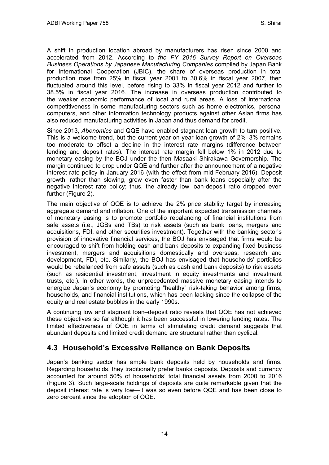A shift in production location abroad by manufacturers has risen since 2000 and accelerated from 2012. According to *the FY 2016 Survey Report on Overseas Business Operations by Japanese Manufacturing Companies* compiled by Japan Bank for International Cooperation (JBIC), the share of overseas production in total production rose from 25% in fiscal year 2001 to 30.6% in fiscal year 2007, then fluctuated around this level, before rising to 33% in fiscal year 2012 and further to 38.5% in fiscal year 2016. The increase in overseas production contributed to the weaker economic performance of local and rural areas. A loss of international competitiveness in some manufacturing sectors such as home electronics, personal computers, and other information technology products against other Asian firms has also reduced manufacturing activities in Japan and thus demand for credit.

Since 2013, *Abenomics* and QQE have enabled stagnant loan growth to turn positive. This is a welcome trend, but the current year-on-year loan growth of 2%–3% remains too moderate to offset a decline in the interest rate margins (difference between lending and deposit rates). The interest rate margin fell below 1% in 2012 due to monetary easing by the BOJ under the then Masaaki Shirakawa Governorship. The margin continued to drop under QQE and further after the announcement of a negative interest rate policy in January 2016 (with the effect from mid-February 2016). Deposit growth, rather than slowing, grew even faster than bank loans especially after the negative interest rate policy; thus, the already low loan-deposit ratio dropped even further (Figure 2).

The main objective of QQE is to achieve the 2% price stability target by increasing aggregate demand and inflation. One of the important expected transmission channels of monetary easing is to promote portfolio rebalancing of financial institutions from safe assets (i.e., JGBs and TBs) to risk assets (such as bank loans, mergers and acquisitions, FDI, and other securities investment). Together with the banking sector's provision of innovative financial services, the BOJ has envisaged that firms would be encouraged to shift from holding cash and bank deposits to expanding fixed business investment, mergers and acquisitions domestically and overseas, research and development, FDI, etc. Similarly, the BOJ has envisaged that households' portfolios would be rebalanced from safe assets (such as cash and bank deposits) to risk assets (such as residential investment, investment in equity investments and investment trusts, etc.). In other words, the unprecedented massive monetary easing intends to energize Japan's economy by promoting "healthy" risk-taking behavior among firms, households, and financial institutions, which has been lacking since the collapse of the equity and real estate bubbles in the early 1990s.

A continuing low and stagnant loan–deposit ratio reveals that QQE has not achieved these objectives so far although it has been successful in lowering lending rates. The limited effectiveness of QQE in terms of stimulating credit demand suggests that abundant deposits and limited credit demand are structural rather than cyclical.

#### <span id="page-17-0"></span>**4.3 Household's Excessive Reliance on Bank Deposits**

Japan's banking sector has ample bank deposits held by households and firms. Regarding households, they traditionally prefer banks deposits. Deposits and currency accounted for around 50% of households' total financial assets from 2000 to 2016 (Figure 3). Such large-scale holdings of deposits are quite remarkable given that the deposit interest rate is very low—it was so even before QQE and has been close to zero percent since the adoption of QQE.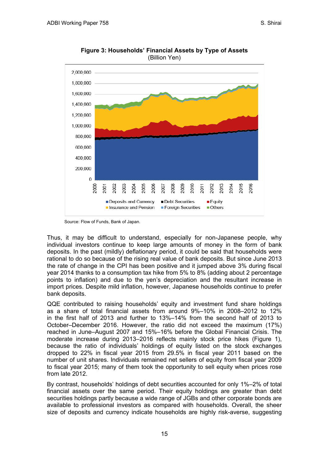

**Figure 3: Households' Financial Assets by Type of Assets**  (Billion Yen)

Source: Flow of Funds, Bank of Japan.

Thus, it may be difficult to understand, especially for non-Japanese people, why individual investors continue to keep large amounts of money in the form of bank deposits. In the past (mildly) deflationary period, it could be said that households were rational to do so because of the rising real value of bank deposits. But since June 2013 the rate of change in the CPI has been positive and it jumped above 3% during fiscal year 2014 thanks to a consumption tax hike from 5% to 8% (adding about 2 percentage points to inflation) and due to the yen's depreciation and the resultant increase in import prices. Despite mild inflation, however, Japanese households continue to prefer bank deposits.

QQE contributed to raising households' equity and investment fund share holdings as a share of total financial assets from around 9%–10% in 2008–2012 to 12% in the first half of 2013 and further to 13%–14% from the second half of 2013 to October–December 2016. However, the ratio did not exceed the maximum (17%) reached in June–August 2007 and 15%–16% before the Global Financial Crisis. The moderate increase during 2013–2016 reflects mainly stock price hikes (Figure 1), because the ratio of individuals' holdings of equity listed on the stock exchanges dropped to 22% in fiscal year 2015 from 29.5% in fiscal year 2011 based on the number of unit shares. Individuals remained net sellers of equity from fiscal year 2009 to fiscal year 2015; many of them took the opportunity to sell equity when prices rose from late 2012.

By contrast, households' holdings of debt securities accounted for only 1%–2% of total financial assets over the same period. Their equity holdings are greater than debt securities holdings partly because a wide range of JGBs and other corporate bonds are available to professional investors as compared with households. Overall, the sheer size of deposits and currency indicate households are highly risk-averse, suggesting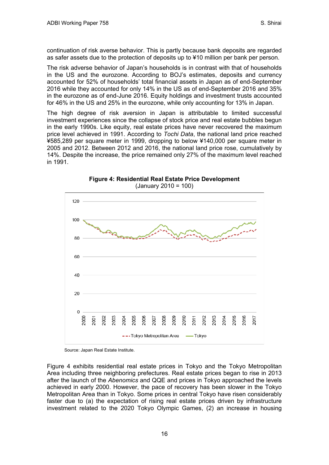continuation of risk averse behavior. This is partly because bank deposits are regarded as safer assets due to the protection of deposits up to ¥10 million per bank per person.

The risk adverse behavior of Japan's households is in contrast with that of households in the US and the eurozone. According to BOJ's estimates, deposits and currency accounted for 52% of households' total financial assets in Japan as of end-September 2016 while they accounted for only 14% in the US as of end-September 2016 and 35% in the eurozone as of end-June 2016. Equity holdings and investment trusts accounted for 46% in the US and 25% in the eurozone, while only accounting for 13% in Japan.

The high degree of risk aversion in Japan is attributable to limited successful investment experiences since the collapse of stock price and real estate bubbles begun in the early 1990s. Like equity, real estate prices have never recovered the maximum price level achieved in 1991. According to *Tochi Data*, the national land price reached ¥585,289 per square meter in 1999, dropping to below ¥140,000 per square meter in 2005 and 2012. Between 2012 and 2016, the national land price rose, cumulatively by 14%. Despite the increase, the price remained only 27% of the maximum level reached in 1991.



**Figure 4: Residential Real Estate Price Development**  (January 2010 = 100)

Source: Japan Real Estate Institute.

Figure 4 exhibits residential real estate prices in Tokyo and the Tokyo Metropolitan Area including three neighboring prefectures. Real estate prices began to rise in 2013 after the launch of the *Abenomics* and QQE and prices in Tokyo approached the levels achieved in early 2000. However, the pace of recovery has been slower in the Tokyo Metropolitan Area than in Tokyo. Some prices in central Tokyo have risen considerably faster due to (a) the expectation of rising real estate prices driven by infrastructure investment related to the 2020 Tokyo Olympic Games, (2) an increase in housing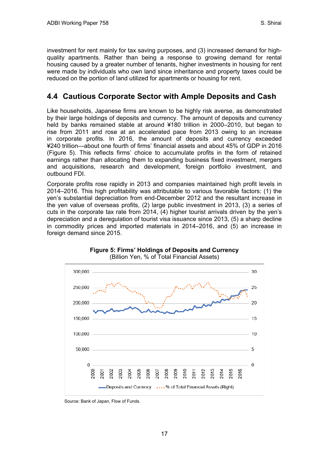investment for rent mainly for tax saving purposes, and (3) increased demand for highquality apartments. Rather than being a response to growing demand for rental housing caused by a greater number of tenants, higher investments in housing for rent were made by individuals who own land since inheritance and property taxes could be reduced on the portion of land utilized for apartments or housing for rent.

#### <span id="page-20-0"></span>**4.4 Cautious Corporate Sector with Ample Deposits and Cash**

Like households, Japanese firms are known to be highly risk averse, as demonstrated by their large holdings of deposits and currency. The amount of deposits and currency held by banks remained stable at around ¥180 trillion in 2000–2010, but began to rise from 2011 and rose at an accelerated pace from 2013 owing to an increase in corporate profits. In 2016, the amount of deposits and currency exceeded ¥240 trillion—about one fourth of firms' financial assets and about 45% of GDP in 2016 (Figure 5). This reflects firms' choice to accumulate profits in the form of retained earnings rather than allocating them to expanding business fixed investment, mergers and acquisitions, research and development, foreign portfolio investment, and outbound FDI.

Corporate profits rose rapidly in 2013 and companies maintained high profit levels in 2014–2016. This high profitability was attributable to various favorable factors: (1) the yen's substantial depreciation from end-December 2012 and the resultant increase in the yen value of overseas profits, (2) large public investment in 2013, (3) a series of cuts in the corporate tax rate from 2014, (4) higher tourist arrivals driven by the yen's depreciation and a deregulation of tourist visa issuance since 2013, (5) a sharp decline in commodity prices and imported materials in 2014–2016, and (5) an increase in foreign demand since 2015.





Source: Bank of Japan, Flow of Funds.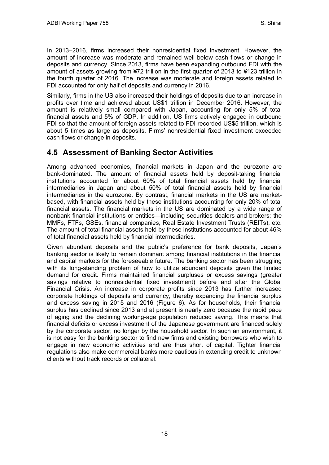In 2013–2016, firms increased their nonresidential fixed investment. However, the amount of increase was moderate and remained well below cash flows or change in deposits and currency. Since 2013, firms have been expanding outbound FDI with the amount of assets growing from ¥72 trillion in the first quarter of 2013 to ¥123 trillion in the fourth quarter of 2016. The increase was moderate and foreign assets related to FDI accounted for only half of deposits and currency in 2016.

Similarly, firms in the US also increased their holdings of deposits due to an increase in profits over time and achieved about US\$1 trillion in December 2016. However, the amount is relatively small compared with Japan, accounting for only 5% of total financial assets and 5% of GDP. In addition, US firms actively engaged in outbound FDI so that the amount of foreign assets related to FDI recorded US\$5 trillion, which is about 5 times as large as deposits. Firms' nonresidential fixed investment exceeded cash flows or change in deposits.

### <span id="page-21-0"></span>**4.5 Assessment of Banking Sector Activities**

Among advanced economies, financial markets in Japan and the eurozone are bank-dominated. The amount of financial assets held by deposit-taking financial institutions accounted for about 60% of total financial assets held by financial intermediaries in Japan and about 50% of total financial assets held by financial intermediaries in the eurozone. By contrast, financial markets in the US are marketbased, with financial assets held by these institutions accounting for only 20% of total financial assets. The financial markets in the US are dominated by a wide range of nonbank financial institutions or entities—including securities dealers and brokers; the MMFs, FTFs, GSEs, financial companies, Real Estate Investment Trusts (REITs), etc. The amount of total financial assets held by these institutions accounted for about 46% of total financial assets held by financial intermediaries.

Given abundant deposits and the public's preference for bank deposits, Japan's banking sector is likely to remain dominant among financial institutions in the financial and capital markets for the foreseeable future. The banking sector has been struggling with its long-standing problem of how to utilize abundant deposits given the limited demand for credit. Firms maintained financial surpluses or excess savings (greater savings relative to nonresidential fixed investment) before and after the Global Financial Crisis. An increase in corporate profits since 2013 has further increased corporate holdings of deposits and currency, thereby expanding the financial surplus and excess saving in 2015 and 2016 (Figure 6). As for households, their financial surplus has declined since 2013 and at present is nearly zero because the rapid pace of aging and the declining working-age population reduced saving. This means that financial deficits or excess investment of the Japanese government are financed solely by the corporate sector; no longer by the household sector. In such an environment, it is not easy for the banking sector to find new firms and existing borrowers who wish to engage in new economic activities and are thus short of capital. Tighter financial regulations also make commercial banks more cautious in extending credit to unknown clients without track records or collateral.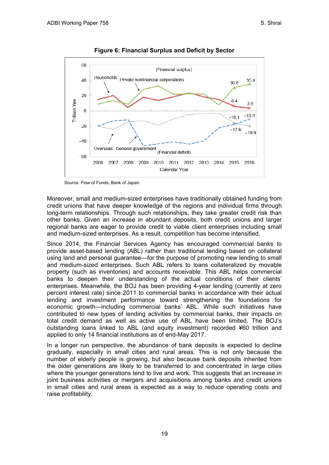

**Figure 6: Financial Surplus and Deficit by Sector**

Source: Flow of Funds, Bank of Japan.

Moreover, small and medium-sized enterprises have traditionally obtained funding from credit unions that have deeper knowledge of the regions and individual firms through long-term relationships. Through such relationships, they take greater credit risk than other banks. Given an increase in abundant deposits, both credit unions and larger regional banks are eager to provide credit to viable client enterprises including small and medium-sized enterprises. As a result, competition has become intensified.

Since 2014, the Financial Services Agency has encouraged commercial banks to provide asset-based lending (ABL) rather than traditional lending based on collateral using land and personal guarantee—for the purpose of promoting new lending to small and medium-sized enterprises. Such ABL refers to loans collateralized by movable property (such as inventories) and accounts receivable. This ABL helps commercial banks to deepen their understanding of the actual conditions of their clients' enterprises. Meanwhile, the BOJ has been providing 4-year lending (currently at zero percent interest rate) since 2011 to commercial banks in accordance with their actual lending and investment performance toward strengthening the foundations for economic growth—including commercial banks' ABL. While such initiatives have contributed to new types of lending activities by commercial banks, their impacts on total credit demand as well as active use of ABL have been limited. The BOJ's outstanding loans linked to ABL (and equity investment) recorded ¥60 trillion and applied to only 14 financial institutions as of end-May 2017.

In a longer run perspective, the abundance of bank deposits is expected to decline gradually, especially in small cities and rural areas. This is not only because the number of elderly people is growing, but also because bank deposits inherited from the older generations are likely to be transferred to and concentrated in large cities where the younger generations tend to live and work. This suggests that an increase in joint business activities or mergers and acquisitions among banks and credit unions in small cities and rural areas is expected as a way to reduce operating costs and raise profitability.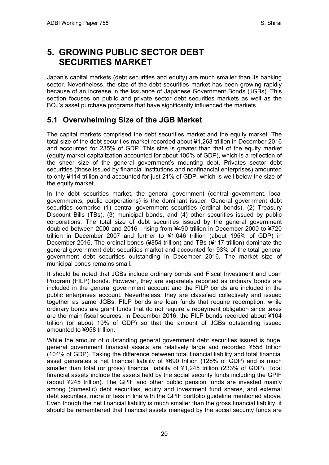## <span id="page-23-0"></span>**5. GROWING PUBLIC SECTOR DEBT SECURITIES MARKET**

Japan's capital markets (debt securities and equity) are much smaller than its banking sector. Nevertheless, the size of the debt securities market has been growing rapidly because of an increase in the issuance of Japanese Government Bonds (JGBs). This section focuses on public and private sector debt securities markets as well as the BOJ's asset purchase programs that have significantly influenced the markets.

### <span id="page-23-1"></span>**5.1 Overwhelming Size of the JGB Market**

The capital markets comprised the debt securities market and the equity market. The total size of the debt securities market recorded about ¥1,263 trillion in December 2016 and accounted for 235% of GDP. This size is greater than that of the equity market (equity market capitalization accounted for about 100% of GDP), which is a reflection of the sheer size of the general government's mounting debt. Privates sector debt securities (those issued by financial institutions and nonfinancial enterprises) amounted to only ¥114 trillion and accounted for just 21% of GDP, which is well below the size of the equity market.

In the debt securities market, the general government (central government, local governments, public corporations) is the dominant issuer. General government debt securities comprise (1) central government securities (ordinal bonds), (2) Treasury Discount Bills (TBs), (3) municipal bonds, and (4) other securities issued by public corporations. The total size of debt securities issued by the general government doubled between 2000 and 2016—rising from ¥490 trillion in December 2000 to ¥720 trillion in December 2007 and further to ¥1,046 trillion (about 195% of GDP) in December 2016. The ordinal bonds (¥854 trillion) and TBs (¥117 trillion) dominate the general government debt securities market and accounted for 93% of the total general government debt securities outstanding in December 2016. The market size of municipal bonds remains small.

It should be noted that JGBs include ordinary bonds and Fiscal Investment and Loan Program (FILP) bonds. However, they are separately reported as ordinary bonds are included in the general government account and the FILP bonds are included in the public enterprises account. Nevertheless, they are classified collectively and issued together as same JGBs. FILP bonds are loan funds that require redemption, while ordinary bonds are grant funds that do not require a repayment obligation since taxes are the main fiscal sources. In December 2016, the FILP bonds recorded about ¥104 trillion (or about 19% of GDP) so that the amount of JGBs outstanding issued amounted to ¥958 trillion.

While the amount of outstanding general government debt securities issued is huge, general government financial assets are relatively large and recorded ¥558 trillion (104% of GDP). Taking the difference between total financial liability and total financial asset generates a net financial liability of ¥690 trillion (128% of GDP) and is much smaller than total (or gross) financial liability of ¥1,245 trillion (233% of GDP). Total financial assets include the assets held by the social security funds including the GPIF (about ¥245 trillion). The GPIF and other public pension funds are invested mainly among (domestic) debt securities, equity and investment fund shares, and external debt securities, more or less in line with the GPIF portfolio guideline mentioned above. Even though the net financial liability is much smaller than the gross financial liability, it should be remembered that financial assets managed by the social security funds are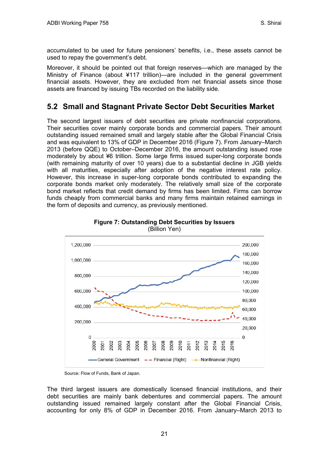accumulated to be used for future pensioners' benefits, i.e., these assets cannot be used to repay the government's debt.

Moreover, it should be pointed out that foreign reserves—which are managed by the Ministry of Finance (about ¥117 trillion)—are included in the general government financial assets. However, they are excluded from net financial assets since those assets are financed by issuing TBs recorded on the liability side.

### <span id="page-24-0"></span>**5.2 Small and Stagnant Private Sector Debt Securities Market**

The second largest issuers of debt securities are private nonfinancial corporations. Their securities cover mainly corporate bonds and commercial papers. Their amount outstanding issued remained small and largely stable after the Global Financial Crisis and was equivalent to 13% of GDP in December 2016 (Figure 7). From January–March 2013 (before QQE) to October–December 2016, the amount outstanding issued rose moderately by about ¥6 trillion. Some large firms issued super-long corporate bonds (with remaining maturity of over 10 years) due to a substantial decline in JGB yields with all maturities, especially after adoption of the negative interest rate policy. However, this increase in super-long corporate bonds contributed to expanding the corporate bonds market only moderately. The relatively small size of the corporate bond market reflects that credit demand by firms has been limited. Firms can borrow funds cheaply from commercial banks and many firms maintain retained earnings in the form of deposits and currency, as previously mentioned.





Source: Flow of Funds, Bank of Japan.

The third largest issuers are domestically licensed financial institutions, and their debt securities are mainly bank debentures and commercial papers. The amount outstanding issued remained largely constant after the Global Financial Crisis, accounting for only 8% of GDP in December 2016. From January–March 2013 to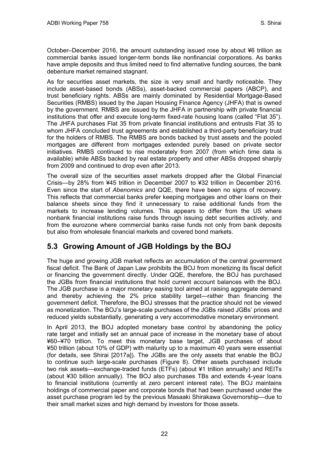October–December 2016, the amount outstanding issued rose by about ¥6 trillion as commercial banks issued longer-term bonds like nonfinancial corporations. As banks have ample deposits and thus limited need to find alternative funding sources, the bank debenture market remained stagnant.

As for securities asset markets, the size is very small and hardly noticeable. They include asset-based bonds (ABSs), asset-backed commercial papers (ABCP), and trust beneficiary rights. ABSs are mainly dominated by Residential Mortgage-Based Securities (RMBS) issued by the Japan Housing Finance Agency (JHFA) that is owned by the government. RMBS are issued by the JHFA in partnership with private financial institutions that offer and execute long-term fixed-rate housing loans (called "Flat 35"). The JHFA purchases Flat 35 from private financial institutions and entrusts Flat 35 to whom JHFA concluded trust agreements and established a third-party beneficiary trust for the holders of RMBS. The RMBS are bonds backed by trust assets and the pooled mortgages are different from mortgages extended purely based on private sector initiatives. RMBS continued to rise moderately from 2007 (from which time data is available) while ABSs backed by real estate property and other ABSs dropped sharply from 2009 and continued to drop even after 2013.

The overall size of the securities asset markets dropped after the Global Financial Crisis—by 28% from ¥45 trillion in December 2007 to ¥32 trillion in December 2016. Even since the start of *Abenomics* and QQE, there have been no signs of recovery. This reflects that commercial banks prefer keeping mortgages and other loans on their balance sheets since they find it unnecessary to raise additional funds from the markets to increase lending volumes. This appears to differ from the US where nonbank financial institutions raise funds through issuing debt securities actively, and from the eurozone where commercial banks raise funds not only from bank deposits but also from wholesale financial markets and covered bond markets.

## <span id="page-25-0"></span>**5.3 Growing Amount of JGB Holdings by the BOJ**

The huge and growing JGB market reflects an accumulation of the central government fiscal deficit. The Bank of Japan Law prohibits the BOJ from monetizing its fiscal deficit or financing the government directly. Under QQE, therefore, the BOJ has purchased the JGBs from financial institutions that hold current account balances with the BOJ. The JGB purchase is a major monetary easing tool aimed at raising aggregate demand and thereby achieving the 2% price stability target—rather than financing the government deficit. Therefore, the BOJ stresses that the practice should not be viewed as monetization. The BOJ's large-scale purchases of the JGBs raised JGBs' prices and reduced yields substantially, generating a very accommodative monetary environment.

In April 2013, the BOJ adopted monetary base control by abandoning the policy rate target and initially set an annual pace of increase in the monetary base of about ¥60–¥70 trillion. To meet this monetary base target, JGB purchases of about ¥50 trillion (about 10% of GDP) with maturity up to a maximum 40 years were essential (for details, see Shirai [2017a]). The JGBs are the only assets that enable the BOJ to continue such large-scale purchases (Figure 8). Other assets purchased include two risk assets—exchange-traded funds (ETFs) (about ¥1 trillion annually) and REITs (about ¥30 billion annually). The BOJ also purchases TBs and extends 4-year loans to financial institutions (currently at zero percent interest rate). The BOJ maintains holdings of commercial paper and corporate bonds that had been purchased under the asset purchase program led by the previous Masaaki Shirakawa Governorship—due to their small market sizes and high demand by investors for those assets.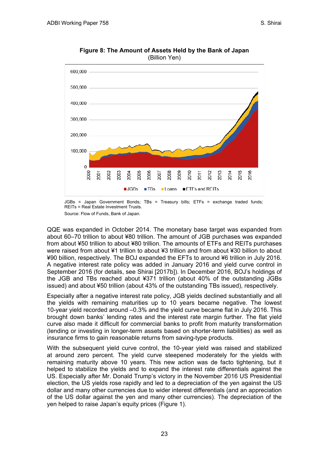

**Figure 8: The Amount of Assets Held by the Bank of Japan**  (Billion Yen)

Source: Flow of Funds, Bank of Japan.

QQE was expanded in October 2014. The monetary base target was expanded from about 60–70 trillion to about ¥80 trillion. The amount of JGB purchases was expanded from about ¥50 trillion to about ¥80 trillion. The amounts of ETFs and REITs purchases were raised from about ¥1 trillion to about ¥3 trillion and from about ¥30 billion to about ¥90 billion, respectively. The BOJ expanded the EFTs to around ¥6 trillion in July 2016. A negative interest rate policy was added in January 2016 and yield curve control in September 2016 (for details, see Shirai [2017b]). In December 2016, BOJ's holdings of the JGB and TBs reached about ¥371 trillion (about 40% of the outstanding JGBs issued) and about ¥50 trillion (about 43% of the outstanding TBs issued), respectively.

Especially after a negative interest rate policy, JGB yields declined substantially and all the yields with remaining maturities up to 10 years became negative. The lowest 10-year yield recorded around –0.3% and the yield curve became flat in July 2016. This brought down banks' lending rates and the interest rate margin further. The flat yield curve also made it difficult for commercial banks to profit from maturity transformation (lending or investing in longer-term assets based on shorter-term liabilities) as well as insurance firms to gain reasonable returns from saving-type products.

With the subsequent yield curve control, the 10-year yield was raised and stabilized at around zero percent. The yield curve steepened moderately for the yields with remaining maturity above 10 years. This new action was de facto tightening, but it helped to stabilize the yields and to expand the interest rate differentials against the US. Especially after Mr. Donald Trump's victory in the November 2016 US Presidential election, the US yields rose rapidly and led to a depreciation of the yen against the US dollar and many other currencies due to wider interest differentials (and an appreciation of the US dollar against the yen and many other currencies). The depreciation of the yen helped to raise Japan's equity prices (Figure 1).

JGBs = Japan Government Bonds; TBs = Treasury bills; ETFs = exchange traded funds; REITs = Real Estate Investment Trusts.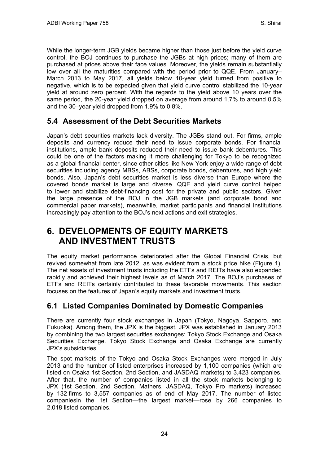While the longer-term JGB yields became higher than those just before the yield curve control, the BOJ continues to purchase the JGBs at high prices; many of them are purchased at prices above their face values. Moreover, the yields remain substantially low over all the maturities compared with the period prior to QQE. From January– March 2013 to May 2017, all yields below 10-year yield turned from positive to negative, which is to be expected given that yield curve control stabilized the 10-year yield at around zero percent. With the regards to the yield above 10 years over the same period, the 20-year yield dropped on average from around 1.7% to around 0.5% and the 30–year yield dropped from 1.9% to 0.8%.

### <span id="page-27-0"></span>**5.4 Assessment of the Debt Securities Markets**

Japan's debt securities markets lack diversity. The JGBs stand out. For firms, ample deposits and currency reduce their need to issue corporate bonds. For financial institutions, ample bank deposits reduced their need to issue bank debentures. This could be one of the factors making it more challenging for Tokyo to be recognized as a global financial center, since other cities like New York enjoy a wide range of debt securities including agency MBSs, ABSs, corporate bonds, debentures, and high yield bonds. Also, Japan's debt securities market is less diverse than Europe where the covered bonds market is large and diverse. QQE and yield curve control helped to lower and stabilize debt-financing cost for the private and public sectors. Given the large presence of the BOJ in the JGB markets (and corporate bond and commercial paper markets), meanwhile, market participants and financial institutions increasingly pay attention to the BOJ's next actions and exit strategies.

## <span id="page-27-1"></span>**6. DEVELOPMENTS OF EQUITY MARKETS AND INVESTMENT TRUSTS**

The equity market performance deteriorated after the Global Financial Crisis, but revived somewhat from late 2012, as was evident from a stock price hike (Figure 1). The net assets of investment trusts including the ETFs and REITs have also expanded rapidly and achieved their highest levels as of March 2017. The BOJ's purchases of ETFs and REITs certainly contributed to these favorable movements. This section focuses on the features of Japan's equity markets and investment trusts.

### <span id="page-27-2"></span>**6.1 Listed Companies Dominated by Domestic Companies**

There are currently four stock exchanges in Japan (Tokyo, Nagoya, Sapporo, and Fukuoka). Among them, the JPX is the biggest. JPX was established in January 2013 by combining the two largest securities exchanges: Tokyo Stock Exchange and Osaka Securities Exchange. Tokyo Stock Exchange and Osaka Exchange are currently JPX's subsidiaries.

The spot markets of the Tokyo and Osaka Stock Exchanges were merged in July 2013 and the number of listed enterprises increased by 1,100 companies (which are listed on Osaka 1st Section, 2nd Section, and JASDAQ markets) to 3,423 companies. After that, the number of companies listed in all the stock markets belonging to JPX (1st Section, 2nd Section, Mathers, JASDAQ, Tokyo Pro markets) increased by 132 firms to 3,557 companies as of end of May 2017. The number of listed companiesin the 1st Section—the largest market—rose by 266 companies to 2,018 listed companies.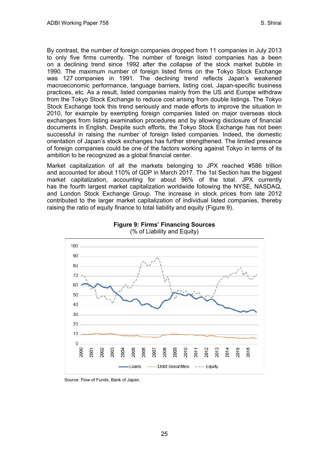By contrast, the number of foreign companies dropped from 11 companies in July 2013 to only five firms currently. The number of foreign listed companies has a been on a declining trend since 1992 after the collapse of the stock market bubble in 1990. The maximum number of foreign listed firms on the Tokyo Stock Exchange was 127 companies in 1991. The declining trend reflects Japan's weakened macroeconomic performance, language barriers, listing cost, Japan-specific business practices, etc. As a result, listed companies mainly from the US and Europe withdraw from the Tokyo Stock Exchange to reduce cost arising from double listings. The Tokyo Stock Exchange took this trend seriously and made efforts to improve the situation in 2010, for example by exempting foreign companies listed on major overseas stock exchanges from listing examination procedures and by allowing disclosure of financial documents in English. Despite such efforts, the Tokyo Stock Exchange has not been successful in raising the number of foreign listed companies. Indeed, the domestic orientation of Japan's stock exchanges has further strengthened. The limited presence of foreign companies could be one of the factors working against Tokyo in terms of its ambition to be recognized as a global financial center.

Market capitalization of all the markets belonging to JPX reached ¥586 trillion and accounted for about 110% of GDP in March 2017. The 1st Section has the biggest market capitalization, accounting for about 96% of the total. JPX currently has the fourth largest market capitalization worldwide following the NYSE, NASDAQ, and London Stock Exchange Group. The increase in stock prices from late 2012 contributed to the larger market capitalization of individual listed companies, thereby raising the ratio of equity finance to total liability and equity (Figure 9).





Source: Flow of Funds, Bank of Japan.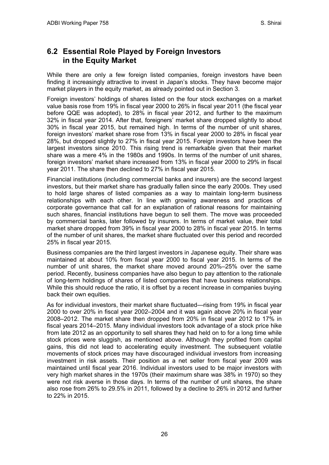### <span id="page-29-0"></span>**6.2 Essential Role Played by Foreign Investors in the Equity Market**

While there are only a few foreign listed companies, foreign investors have been finding it increasingly attractive to invest in Japan's stocks. They have become major market players in the equity market, as already pointed out in Section 3.

Foreign investors' holdings of shares listed on the four stock exchanges on a market value basis rose from 19% in fiscal year 2000 to 26% in fiscal year 2011 (the fiscal year before QQE was adopted), to 28% in fiscal year 2012, and further to the maximum 32% in fiscal year 2014. After that, foreigners' market share dropped slightly to about 30% in fiscal year 2015, but remained high. In terms of the number of unit shares, foreign investors' market share rose from 13% in fiscal year 2000 to 28% in fiscal year 28%, but dropped slightly to 27% in fiscal year 2015. Foreign investors have been the largest investors since 2010. This rising trend is remarkable given that their market share was a mere 4% in the 1980s and 1990s. In terms of the number of unit shares, foreign investors' market share increased from 13% in fiscal year 2000 to 29% in fiscal year 2011. The share then declined to 27% in fiscal year 2015.

Financial institutions (including commercial banks and insurers) are the second largest investors, but their market share has gradually fallen since the early 2000s. They used to hold large shares of listed companies as a way to maintain long-term business relationships with each other. In line with growing awareness and practices of corporate governance that call for an explanation of rational reasons for maintaining such shares, financial institutions have begun to sell them. The move was proceeded by commercial banks, later followed by insurers. In terms of market value, their total market share dropped from 39% in fiscal year 2000 to 28% in fiscal year 2015. In terms of the number of unit shares, the market share fluctuated over this period and recorded 25% in fiscal year 2015.

Business companies are the third largest investors in Japanese equity. Their share was maintained at about 10% from fiscal year 2000 to fiscal year 2015. In terms of the number of unit shares, the market share moved around 20%–25% over the same period. Recently, business companies have also begun to pay attention to the rationale of long-term holdings of shares of listed companies that have business relationships. While this should reduce the ratio, it is offset by a recent increase in companies buying back their own equities.

As for individual investors, their market share fluctuated—rising from 19% in fiscal year 2000 to over 20% in fiscal year 2002–2004 and it was again above 20% in fiscal year 2008–2012. The market share then dropped from 20% in fiscal year 2012 to 17% in fiscal years 2014–2015. Many individual investors took advantage of a stock price hike from late 2012 as an opportunity to sell shares they had held on to for a long time while stock prices were sluggish, as mentioned above. Although they profited from capital gains, this did not lead to accelerating equity investment. The subsequent volatile movements of stock prices may have discouraged individual investors from increasing investment in risk assets. Their position as a net seller from fiscal year 2009 was maintained until fiscal year 2016. Individual investors used to be major investors with very high market shares in the 1970s (their maximum share was 38% in 1970) so they were not risk averse in those days. In terms of the number of unit shares, the share also rose from 26% to 29.5% in 2011, followed by a decline to 26% in 2012 and further to 22% in 2015.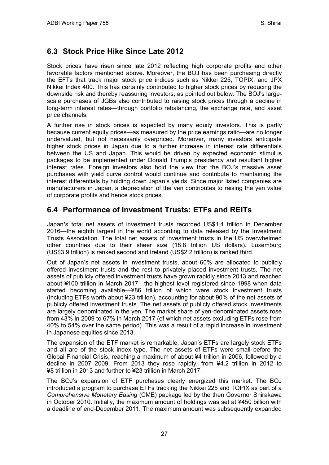### <span id="page-30-0"></span>**6.3 Stock Price Hike Since Late 2012**

Stock prices have risen since late 2012 reflecting high corporate profits and other favorable factors mentioned above. Moreover, the BOJ has been purchasing directly the EFTs that track major stock price indices such as Nikkei 225, TOPIX, and JPX Nikkei Index 400. This has certainly contributed to higher stock prices by reducing the downside risk and thereby reassuring investors, as pointed out below. The BOJ's largescale purchases of JGBs also contributed to raising stock prices through a decline in long-term interest rates—through portfolio rebalancing, the exchange rate, and asset price channels.

A further rise in stock prices is expected by many equity investors. This is partly because current equity prices—as measured by the price earnings ratio—are no longer undervalued, but not necessarily overpriced. Moreover, many investors anticipate higher stock prices in Japan due to a further increase in interest rate differentials between the US and Japan. This would be driven by expected economic stimulus packages to be implemented under Donald Trump's presidency and resultant higher interest rates. Foreign investors also hold the view that the BOJ's massive asset purchases with yield curve control would continue and contribute to maintaining the interest differentials by holding down Japan's yields. Since major listed companies are manufacturers in Japan, a depreciation of the yen contributes to raising the yen value of corporate profits and hence stock prices.

### <span id="page-30-1"></span>**6.4 Performance of Investment Trusts: ETFs and REITs**

Japan**'**s total net assets of investment trusts recorded US\$1.4 trillion in December 2016—the eighth largest in the world according to data released by the Investment Trusts Association. The total net assets of investment trusts in the US overwhelmed other countries due to their sheer size (18.8 trillion US dollars). Luxemburg (US\$3.9 trillion) is ranked second and Ireland (US\$2.2 trillion) is ranked third.

Out of Japan's net assets in investment trusts, about 60% are allocated to publicly offered investment trusts and the rest to privately placed investment trusts. The net assets of publicly offered investment trusts have grown rapidly since 2013 and reached about ¥100 trillion in March 2017—the highest level registered since 1998 when data started becoming available—¥86 trillion of which were stock investment trusts (including ETFs worth about ¥23 trillion), accounting for about 90% of the net assets of publicly offered investment trusts. The net assets of publicly offered stock investments are largely denominated in the yen. The market share of yen-denominated assets rose from 43% in 2009 to 67% in March 2017 (of which net assets excluding ETFs rose from 40% to 54% over the same period). This was a result of a rapid increase in investment in Japanese equities since 2013.

The expansion of the ETF market is remarkable. Japan's ETFs are largely stock ETFs and all are of the stock index type. The net assets of ETFs were small before the Global Financial Crisis, reaching a maximum of about ¥4 trillion in 2006, followed by a decline in 2007–2009. From 2013 they rose rapidly, from ¥4.2 trillion in 2012 to ¥8 trillion in 2013 and further to ¥23 trillion in March 2017.

The BOJ's expansion of ETF purchases clearly energized this market. The BOJ introduced a program to purchase ETFs tracking the Nikkei 225 and TOPIX as part of a *Comprehensive Monetary Easing* (CME) package led by the then Governor Shirakawa in October 2010. Initially, the maximum amount of holdings was set at ¥450 billion with a deadline of end-December 2011. The maximum amount was subsequently expanded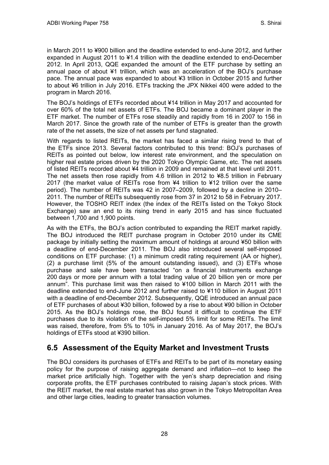in March 2011 to ¥900 billion and the deadline extended to end-June 2012, and further expanded in August 2011 to ¥1.4 trillion with the deadline extended to end-December 2012. In April 2013, QQE expanded the amount of the ETF purchase by setting an annual pace of about ¥1 trillion, which was an acceleration of the BOJ's purchase pace. The annual pace was expanded to about ¥3 trillion in October 2015 and further to about ¥6 trillion in July 2016. ETFs tracking the JPX Nikkei 400 were added to the program in March 2016.

The BOJ's holdings of ETFs recorded about ¥14 trillion in May 2017 and accounted for over 60% of the total net assets of ETFs. The BOJ became a dominant player in the ETF market. The number of ETFs rose steadily and rapidly from 16 in 2007 to 156 in March 2017. Since the growth rate of the number of ETFs is greater than the growth rate of the net assets, the size of net assets per fund stagnated.

With regards to listed REITs, the market has faced a similar rising trend to that of the ETFs since 2013. Several factors contributed to this trend: BOJ's purchases of REITs as pointed out below, low interest rate environment, and the speculation on higher real estate prices driven by the 2020 Tokyo Olympic Game, etc. The net assets of listed REITs recorded about ¥4 trillion in 2009 and remained at that level until 2011. The net assets then rose rapidly from 4.6 trillion in 2012 to ¥8.5 trillion in February 2017 (the market value of REITs rose from ¥4 trillion to ¥12 trillion over the same period). The number of REITs was 42 in 2007–2009, followed by a decline in 2010– 2011. The number of REITs subsequently rose from 37 in 2012 to 58 in February 2017. However, the TOSHO REIT index (the index of the REITs listed on the Tokyo Stock Exchange) saw an end to its rising trend in early 2015 and has since fluctuated between 1,700 and 1,900 points.

As with the ETFs, the BOJ's action contributed to expanding the REIT market rapidly. The BOJ introduced the REIT purchase program in October 2010 under its CME package by initially setting the maximum amount of holdings at around ¥50 billion with a deadline of end-December 2011. The BOJ also introduced several self-imposed conditions on ETF purchase: (1) a minimum credit rating requirement (AA or higher), (2) a purchase limit (5% of the amount outstanding issued), and (3) ETFs whose purchase and sale have been transacted "on a financial instruments exchange 200 days or more per annum with a total trading value of 20 billion yen or more per annum". This purchase limit was then raised to ¥100 billion in March 2011 with the deadline extended to end-June 2012 and further raised to ¥110 billion in August 2011 with a deadline of end-December 2012. Subsequently, QQE introduced an annual pace of ETF purchases of about ¥30 billion, followed by a rise to about ¥90 billion in October 2015. As the BOJ's holdings rose, the BOJ found it difficult to continue the ETF purchases due to its violation of the self-imposed 5% limit for some REITs. The limit was raised, therefore, from 5% to 10% in January 2016. As of May 2017, the BOJ's holdings of ETFs stood at ¥390 billion.

### <span id="page-31-0"></span>**6.5 Assessment of the Equity Market and Investment Trusts**

The BOJ considers its purchases of ETFs and REITs to be part of its monetary easing policy for the purpose of raising aggregate demand and inflation—not to keep the market price artificially high. Together with the yen's sharp depreciation and rising corporate profits, the ETF purchases contributed to raising Japan's stock prices. With the REIT market, the real estate market has also grown in the Tokyo Metropolitan Area and other large cities, leading to greater transaction volumes.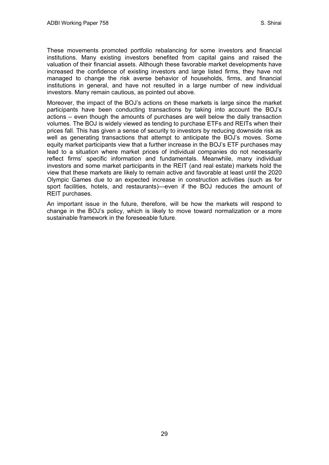These movements promoted portfolio rebalancing for some investors and financial institutions. Many existing investors benefited from capital gains and raised the valuation of their financial assets. Although these favorable market developments have increased the confidence of existing investors and large listed firms, they have not managed to change the risk averse behavior of households, firms, and financial institutions in general, and have not resulted in a large number of new individual investors. Many remain cautious, as pointed out above.

Moreover, the impact of the BOJ's actions on these markets is large since the market participants have been conducting transactions by taking into account the BOJ's actions – even though the amounts of purchases are well below the daily transaction volumes. The BOJ is widely viewed as tending to purchase ETFs and REITs when their prices fall. This has given a sense of security to investors by reducing downside risk as well as generating transactions that attempt to anticipate the BOJ's moves. Some equity market participants view that a further increase in the BOJ's ETF purchases may lead to a situation where market prices of individual companies do not necessarily reflect firms' specific information and fundamentals. Meanwhile, many individual investors and some market participants in the REIT (and real estate) markets hold the view that these markets are likely to remain active and favorable at least until the 2020 Olympic Games due to an expected increase in construction activities (such as for sport facilities, hotels, and restaurants)—even if the BOJ reduces the amount of REIT purchases.

An important issue in the future, therefore, will be how the markets will respond to change in the BOJ's policy, which is likely to move toward normalization or a more sustainable framework in the foreseeable future.